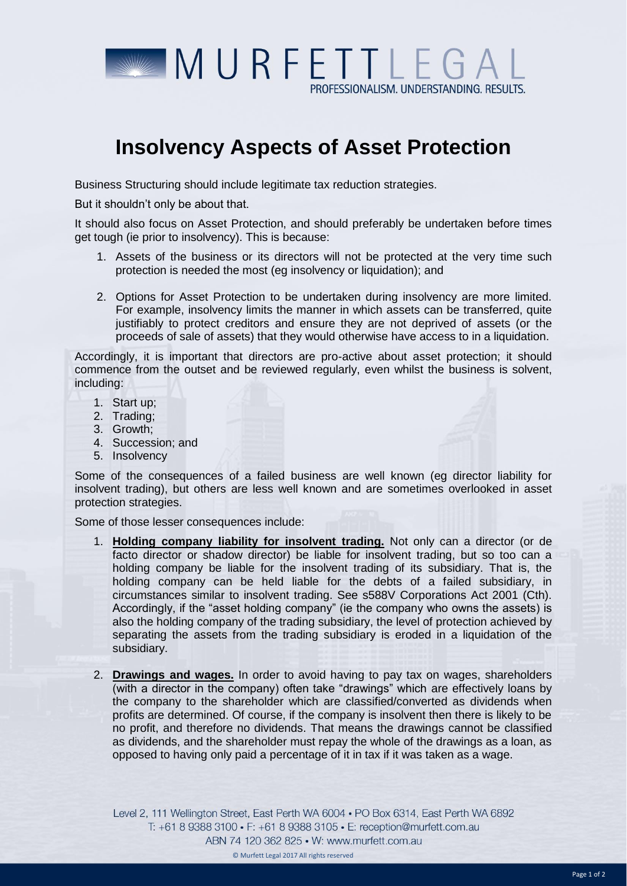

## **Insolvency Aspects of Asset Protection**

Business Structuring should include legitimate tax reduction strategies.

But it shouldn't only be about that.

It should also focus on Asset Protection, and should preferably be undertaken before times get tough (ie prior to insolvency). This is because:

- 1. Assets of the business or its directors will not be protected at the very time such protection is needed the most (eg insolvency or liquidation); and
- 2. Options for Asset Protection to be undertaken during insolvency are more limited. For example, insolvency limits the manner in which assets can be transferred, quite justifiably to protect creditors and ensure they are not deprived of assets (or the proceeds of sale of assets) that they would otherwise have access to in a liquidation.

Accordingly, it is important that directors are pro-active about asset protection; it should commence from the outset and be reviewed regularly, even whilst the business is solvent, including:

- 1. Start up;
- 2. Trading;
- 3. Growth;
- 4. Succession; and
- 5. Insolvency

Some of the consequences of a failed business are well known (eg director liability for insolvent trading), but others are less well known and are sometimes overlooked in asset protection strategies.

Some of those lesser consequences include:

- 1. **Holding company liability for insolvent trading.** Not only can a director (or de facto director or shadow director) be liable for insolvent trading, but so too can a holding company be liable for the insolvent trading of its subsidiary. That is, the holding company can be held liable for the debts of a failed subsidiary, in circumstances similar to insolvent trading. See s588V Corporations Act 2001 (Cth). Accordingly, if the "asset holding company" (ie the company who owns the assets) is also the holding company of the trading subsidiary, the level of protection achieved by separating the assets from the trading subsidiary is eroded in a liquidation of the subsidiary.
- 2. **Drawings and wages.** In order to avoid having to pay tax on wages, shareholders (with a director in the company) often take "drawings" which are effectively loans by the company to the shareholder which are classified/converted as dividends when profits are determined. Of course, if the company is insolvent then there is likely to be no profit, and therefore no dividends. That means the drawings cannot be classified as dividends, and the shareholder must repay the whole of the drawings as a loan, as opposed to having only paid a percentage of it in tax if it was taken as a wage.

Level 2, 111 Wellington Street, East Perth WA 6004 . PO Box 6314, East Perth WA 6892 T: +61 8 9388 3100 • F: +61 8 9388 3105 • E: reception@murfett.com.au ABN 74 120 362 825 • W: www.murfett.com.au © Murfett Legal 2017 All rights reserved